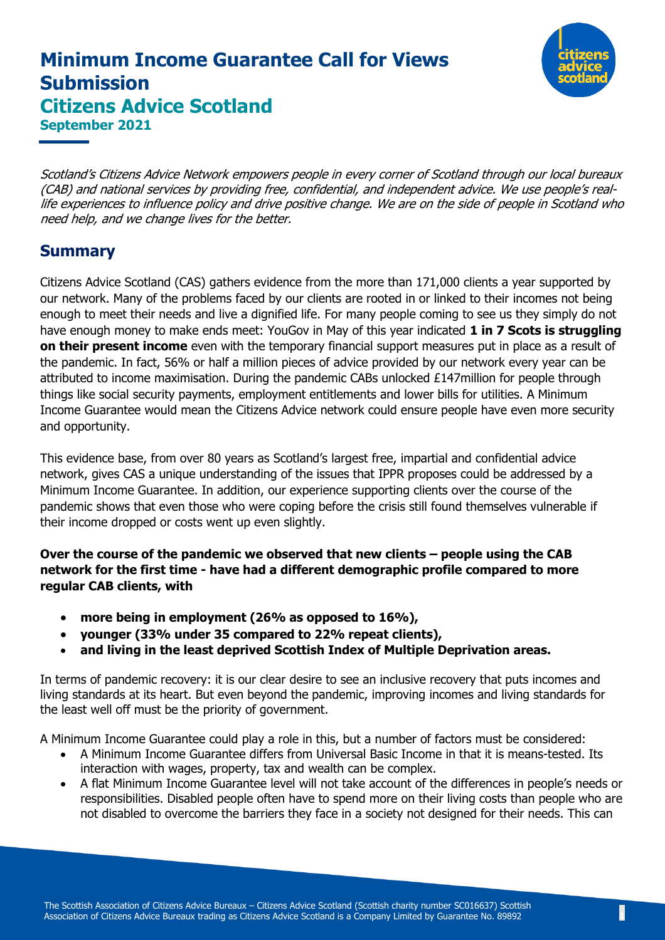# **Minimum Income Guarantee Call for Views Submission Citizens Advice Scotland September 2021**



Scotland's Citizens Advice Network empowers people in every corner of Scotland through our local bureaux (CAB) and national services by providing free, confidential, and independent advice. We use people's reallife experiences to influence policy and drive positive change. We are on the side of people in Scotland who need help, and we change lives for the better.

#### **Summary**

Citizens Advice Scotland (CAS) gathers evidence from the more than 171,000 clients a year supported by our network. Many of the problems faced by our clients are rooted in or linked to their incomes not being enough to meet their needs and live a dignified life. For many people coming to see us they simply do not have enough money to make ends meet: YouGov in May of this year indicated **1 in 7 Scots is struggling on their present income** even with the temporary financial support measures put in place as a result of the pandemic. In fact, 56% or half a million pieces of advice provided by our network every year can be attributed to income maximisation. During the pandemic CABs unlocked £147million for people through things like social security payments, employment entitlements and lower bills for utilities. A Minimum Income Guarantee would mean the Citizens Advice network could ensure people have even more security and opportunity.

This evidence base, from over 80 years as Scotland's largest free, impartial and confidential advice network, gives CAS a unique understanding of the issues that IPPR proposes could be addressed by a Minimum Income Guarantee. In addition, our experience supporting clients over the course of the pandemic shows that even those who were coping before the crisis still found themselves vulnerable if their income dropped or costs went up even slightly.

**Over the course of the pandemic we observed that new clients – people using the CAB network for the first time - have had a different demographic profile compared to more regular CAB clients, with** 

- **more being in employment (26% as opposed to 16%),**
- **younger (33% under 35 compared to 22% repeat clients),**
- **and living in the least deprived Scottish Index of Multiple Deprivation areas.**

In terms of pandemic recovery: it is our clear desire to see an inclusive recovery that puts incomes and living standards at its heart. But even beyond the pandemic, improving incomes and living standards for the least well off must be the priority of government.

A Minimum Income Guarantee could play a role in this, but a number of factors must be considered:

- A Minimum Income Guarantee differs from Universal Basic Income in that it is means-tested. Its interaction with wages, property, tax and wealth can be complex.
- A flat Minimum Income Guarantee level will not take account of the differences in people's needs or responsibilities. Disabled people often have to spend more on their living costs than people who are not disabled to overcome the barriers they face in a society not designed for their needs. This can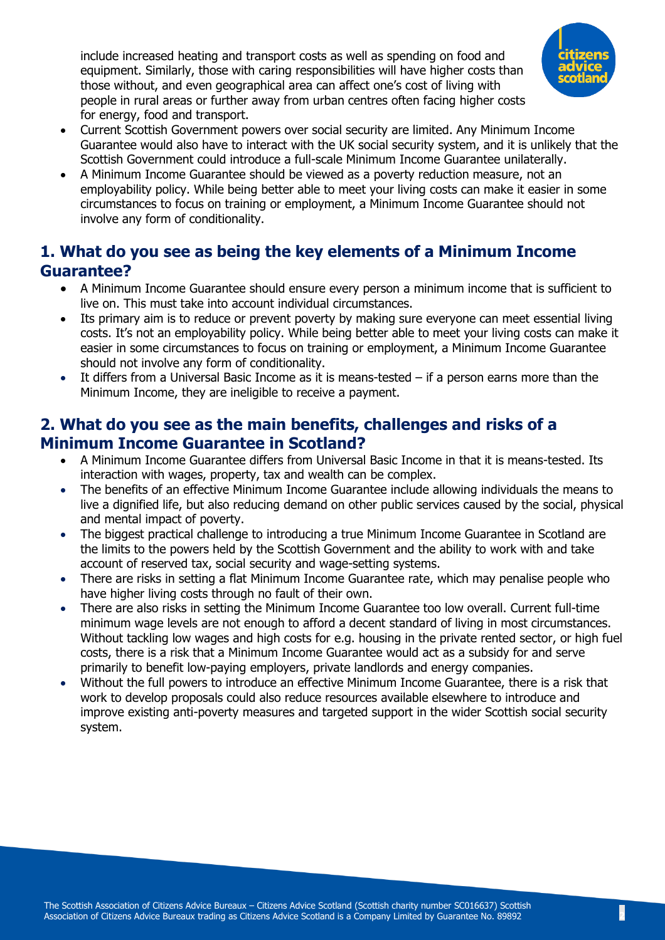include increased heating and transport costs as well as spending on food and equipment. Similarly, those with caring responsibilities will have higher costs than those without, and even geographical area can affect one's cost of living with people in rural areas or further away from urban centres often facing higher costs for energy, food and transport.



- Current Scottish Government powers over social security are limited. Any Minimum Income Guarantee would also have to interact with the UK social security system, and it is unlikely that the Scottish Government could introduce a full-scale Minimum Income Guarantee unilaterally.
- A Minimum Income Guarantee should be viewed as a poverty reduction measure, not an employability policy. While being better able to meet your living costs can make it easier in some circumstances to focus on training or employment, a Minimum Income Guarantee should not involve any form of conditionality.

## **1. What do you see as being the key elements of a Minimum Income Guarantee?**

- A Minimum Income Guarantee should ensure every person a minimum income that is sufficient to live on. This must take into account individual circumstances.
- Its primary aim is to reduce or prevent poverty by making sure everyone can meet essential living costs. It's not an employability policy. While being better able to meet your living costs can make it easier in some circumstances to focus on training or employment, a Minimum Income Guarantee should not involve any form of conditionality.
- It differs from a Universal Basic Income as it is means-tested  $-$  if a person earns more than the Minimum Income, they are ineligible to receive a payment.

#### **2. What do you see as the main benefits, challenges and risks of a Minimum Income Guarantee in Scotland?**

- A Minimum Income Guarantee differs from Universal Basic Income in that it is means-tested. Its interaction with wages, property, tax and wealth can be complex.
- The benefits of an effective Minimum Income Guarantee include allowing individuals the means to live a dignified life, but also reducing demand on other public services caused by the social, physical and mental impact of poverty.
- The biggest practical challenge to introducing a true Minimum Income Guarantee in Scotland are the limits to the powers held by the Scottish Government and the ability to work with and take account of reserved tax, social security and wage-setting systems.
- There are risks in setting a flat Minimum Income Guarantee rate, which may penalise people who have higher living costs through no fault of their own.
- There are also risks in setting the Minimum Income Guarantee too low overall. Current full-time minimum wage levels are not enough to afford a decent standard of living in most circumstances. Without tackling low wages and high costs for e.g. housing in the private rented sector, or high fuel costs, there is a risk that a Minimum Income Guarantee would act as a subsidy for and serve primarily to benefit low-paying employers, private landlords and energy companies.
- Without the full powers to introduce an effective Minimum Income Guarantee, there is a risk that work to develop proposals could also reduce resources available elsewhere to introduce and improve existing anti-poverty measures and targeted support in the wider Scottish social security system.